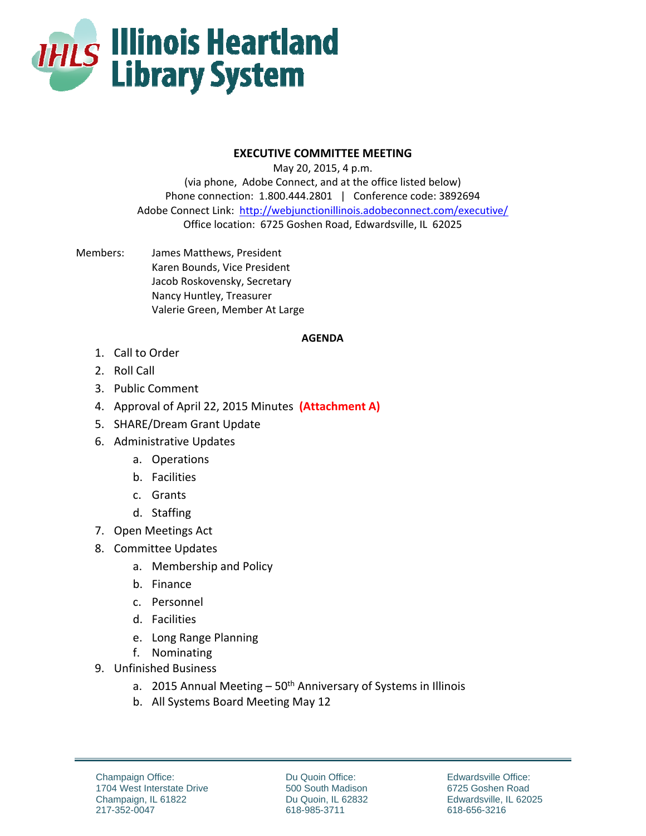

## **EXECUTIVE COMMITTEE MEETING**

May 20, 2015, 4 p.m. (via phone, Adobe Connect, and at the office listed below) Phone connection: 1.800.444.2801 | Conference code: 3892694 Adobe Connect Link: http://webjunctionillinois.adobeconnect.com/executive/ Office location: 6725 Goshen Road, Edwardsville, IL 62025

Members: James Matthews, President Karen Bounds, Vice President Jacob Roskovensky, Secretary Nancy Huntley, Treasurer Valerie Green, Member At Large

## **AGENDA**

- 1. Call to Order
- 2. Roll Call
- 3. Public Comment
- 4. Approval of April 22, 2015 Minutes **(Attachment A)**
- 5. SHARE/Dream Grant Update
- 6. Administrative Updates
	- a. Operations
	- b. Facilities
	- c. Grants
	- d. Staffing
- 7. Open Meetings Act
- 8. Committee Updates
	- a. Membership and Policy
	- b. Finance
	- c. Personnel
	- d. Facilities
	- e. Long Range Planning
	- f. Nominating
- 9. Unfinished Business
	- a. 2015 Annual Meeting  $-50<sup>th</sup>$  Anniversary of Systems in Illinois
	- b. All Systems Board Meeting May 12

Du Quoin Office: 500 South Madison Du Quoin, IL 62832 618-985-3711

Edwardsville Office: 6725 Goshen Road Edwardsville, IL 62025 618-656-3216